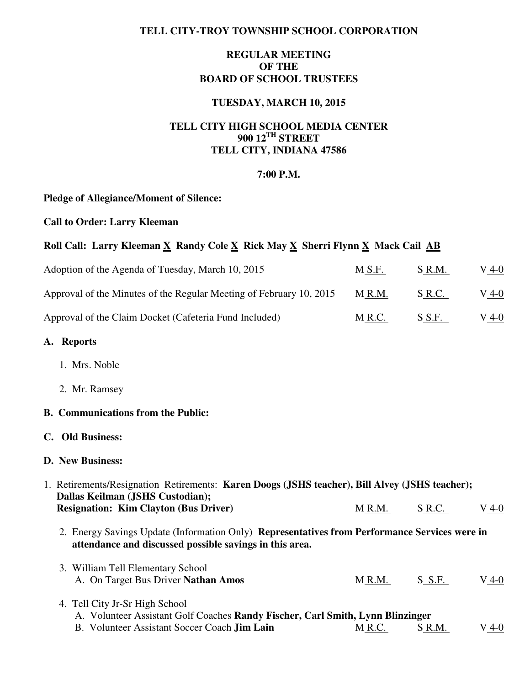### **TELL CITY-TROY TOWNSHIP SCHOOL CORPORATION**

## **REGULAR MEETING OF THE BOARD OF SCHOOL TRUSTEES**

## **TUESDAY, MARCH 10, 2015**

# **TELL CITY HIGH SCHOOL MEDIA CENTER 900 12TH STREET TELL CITY, INDIANA 47586**

### **7:00 P.M.**

### **Pledge of Allegiance/Moment of Silence:**

**Call to Order: Larry Kleeman** 

## Roll Call: Larry Kleeman X Randy Cole X Rick May X Sherri Flynn X Mack Cail AB

| Adoption of the Agenda of Tuesday, March 10, 2015                   | M S.F. | S R.M. | V 4-0   |
|---------------------------------------------------------------------|--------|--------|---------|
| Approval of the Minutes of the Regular Meeting of February 10, 2015 | MR.M.  | S R.C. | $V_4-0$ |
| Approval of the Claim Docket (Cafeteria Fund Included)              | M R.C. | S S.F. | $V_4-0$ |

#### **A. Reports**

- 1. Mrs. Noble
- 2. Mr. Ramsey

### **B. Communications from the Public:**

#### **C. Old Business:**

### **D. New Business:**

| 1. Retirements/Resignation Retirements: Karen Doogs (JSHS teacher), Bill Alvey (JSHS teacher); |                                                                                               |            |       |  |  |  |
|------------------------------------------------------------------------------------------------|-----------------------------------------------------------------------------------------------|------------|-------|--|--|--|
| Dallas Keilman (JSHS Custodian);<br><b>Resignation: Kim Clayton (Bus Driver)</b>               | M R.M.                                                                                        | S R.C.     | V 4-0 |  |  |  |
| attendance and discussed possible savings in this area.                                        | 2. Energy Savings Update (Information Only) Representatives from Performance Services were in |            |       |  |  |  |
| 3. William Tell Elementary School<br>A. On Target Bus Driver Nathan Amos                       | M R.M.                                                                                        | $S$ $S.F.$ | V 4-0 |  |  |  |

4. Tell City Jr-Sr High School A. Volunteer Assistant Golf Coaches **Randy Fischer, Carl Smith, Lynn Blinzinger**  B. Volunteer Assistant Soccer Coach **Jim Lain** M R.C. S R.M. V 4-0